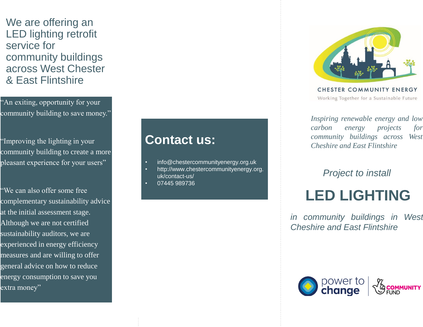We are offering an LED lighting retrofit service for community buildings across West Chester & East Flintshire

"An exiting, opportunity for your community building to save money."

"Improving the lighting in your community building to create a more pleasant experience for your users"

"We can also offer some free complementary sustainability advice at the initial assessment stage. Although we are not certified sustainability auditors, we are experienced in energy efficiency measures and are willing to offer general advice on how to reduce energy consumption to save you extra money"

## **Contact us:**

- info@chestercommunityenergy.org.uk
- http://www.chestercommunityenergy.org. uk/contact-us/
- 07445 989736



**CHESTER COMMUNITY ENERGY** Working Together for a Sustainable Future

*Inspiring renewable energy and low carbon energy projects for community buildings across West Cheshire and East Flintshire*

*Project to install* 

# **LED LIGHTING**

*in community buildings in West Cheshire and East Flintshire*